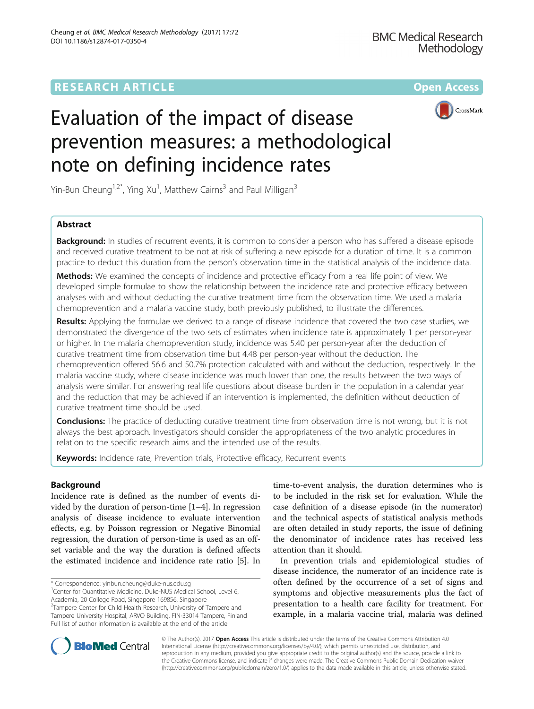

# Evaluation of the impact of disease prevention measures: a methodological note on defining incidence rates

Yin-Bun Cheung<sup>1,2\*</sup>, Ying Xu<sup>1</sup>, Matthew Cairns<sup>3</sup> and Paul Milligan<sup>3</sup>

# Abstract

**Background:** In studies of recurrent events, it is common to consider a person who has suffered a disease episode and received curative treatment to be not at risk of suffering a new episode for a duration of time. It is a common practice to deduct this duration from the person's observation time in the statistical analysis of the incidence data.

Methods: We examined the concepts of incidence and protective efficacy from a real life point of view. We developed simple formulae to show the relationship between the incidence rate and protective efficacy between analyses with and without deducting the curative treatment time from the observation time. We used a malaria chemoprevention and a malaria vaccine study, both previously published, to illustrate the differences.

Results: Applying the formulae we derived to a range of disease incidence that covered the two case studies, we demonstrated the divergence of the two sets of estimates when incidence rate is approximately 1 per person-year or higher. In the malaria chemoprevention study, incidence was 5.40 per person-year after the deduction of curative treatment time from observation time but 4.48 per person-year without the deduction. The chemoprevention offered 56.6 and 50.7% protection calculated with and without the deduction, respectively. In the malaria vaccine study, where disease incidence was much lower than one, the results between the two ways of analysis were similar. For answering real life questions about disease burden in the population in a calendar year and the reduction that may be achieved if an intervention is implemented, the definition without deduction of curative treatment time should be used.

**Conclusions:** The practice of deducting curative treatment time from observation time is not wrong, but it is not always the best approach. Investigators should consider the appropriateness of the two analytic procedures in relation to the specific research aims and the intended use of the results.

Keywords: Incidence rate, Prevention trials, Protective efficacy, Recurrent events

# Background

Incidence rate is defined as the number of events divided by the duration of person-time  $[1-4]$  $[1-4]$  $[1-4]$  $[1-4]$  $[1-4]$ . In regression analysis of disease incidence to evaluate intervention effects, e.g. by Poisson regression or Negative Binomial regression, the duration of person-time is used as an offset variable and the way the duration is defined affects the estimated incidence and incidence rate ratio [[5](#page-5-0)]. In

\* Correspondence: [yinbun.cheung@duke-nus.edu.sg](mailto:yinbun.cheung@duke-nus.edu.sg) <sup>1</sup>

<sup>1</sup> Center for Quantitative Medicine, Duke-NUS Medical School, Level 6, Academia, 20 College Road, Singapore 169856, Singapore

<sup>2</sup>Tampere Center for Child Health Research, University of Tampere and Tampere University Hospital, ARVO Building, FIN-33014 Tampere, Finland Full list of author information is available at the end of the article

time-to-event analysis, the duration determines who is to be included in the risk set for evaluation. While the case definition of a disease episode (in the numerator) and the technical aspects of statistical analysis methods are often detailed in study reports, the issue of defining the denominator of incidence rates has received less attention than it should.

In prevention trials and epidemiological studies of disease incidence, the numerator of an incidence rate is often defined by the occurrence of a set of signs and symptoms and objective measurements plus the fact of presentation to a health care facility for treatment. For example, in a malaria vaccine trial, malaria was defined



© The Author(s). 2017 **Open Access** This article is distributed under the terms of the Creative Commons Attribution 4.0 International License [\(http://creativecommons.org/licenses/by/4.0/](http://creativecommons.org/licenses/by/4.0/)), which permits unrestricted use, distribution, and reproduction in any medium, provided you give appropriate credit to the original author(s) and the source, provide a link to the Creative Commons license, and indicate if changes were made. The Creative Commons Public Domain Dedication waiver [\(http://creativecommons.org/publicdomain/zero/1.0/](http://creativecommons.org/publicdomain/zero/1.0/)) applies to the data made available in this article, unless otherwise stated.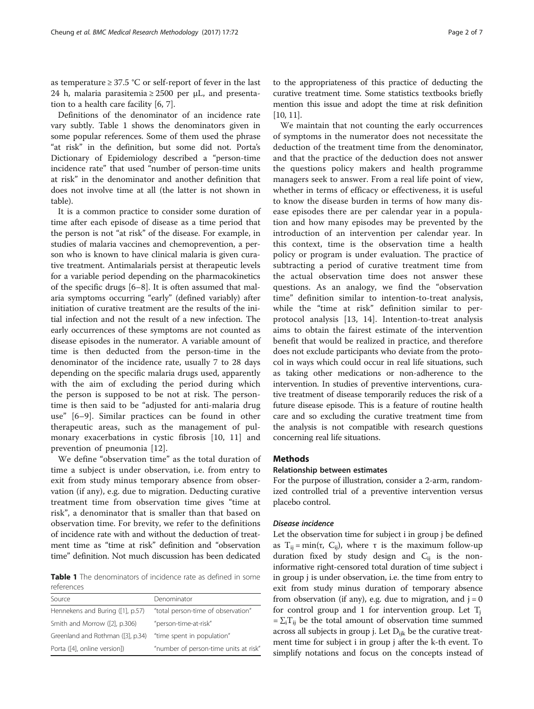as temperature  $\geq 37.5$  °C or self-report of fever in the last 24 h, malaria parasitemia  $\geq$  2500 per  $\mu$ L, and presentation to a health care facility [\[6](#page-5-0), [7](#page-5-0)].

Definitions of the denominator of an incidence rate vary subtly. Table 1 shows the denominators given in some popular references. Some of them used the phrase "at risk" in the definition, but some did not. Porta's Dictionary of Epidemiology described a "person-time incidence rate" that used "number of person-time units at risk" in the denominator and another definition that does not involve time at all (the latter is not shown in table).

It is a common practice to consider some duration of time after each episode of disease as a time period that the person is not "at risk" of the disease. For example, in studies of malaria vaccines and chemoprevention, a person who is known to have clinical malaria is given curative treatment. Antimalarials persist at therapeutic levels for a variable period depending on the pharmacokinetics of the specific drugs [[6](#page-5-0)–[8](#page-5-0)]. It is often assumed that malaria symptoms occurring "early" (defined variably) after initiation of curative treatment are the results of the initial infection and not the result of a new infection. The early occurrences of these symptoms are not counted as disease episodes in the numerator. A variable amount of time is then deducted from the person-time in the denominator of the incidence rate, usually 7 to 28 days depending on the specific malaria drugs used, apparently with the aim of excluding the period during which the person is supposed to be not at risk. The persontime is then said to be "adjusted for anti-malaria drug use" [\[6](#page-5-0)–[9](#page-5-0)]. Similar practices can be found in other therapeutic areas, such as the management of pulmonary exacerbations in cystic fibrosis [\[10](#page-6-0), [11](#page-6-0)] and prevention of pneumonia [[12\]](#page-6-0).

We define "observation time" as the total duration of time a subject is under observation, i.e. from entry to exit from study minus temporary absence from observation (if any), e.g. due to migration. Deducting curative treatment time from observation time gives "time at risk", a denominator that is smaller than that based on observation time. For brevity, we refer to the definitions of incidence rate with and without the deduction of treatment time as "time at risk" definition and "observation time" definition. Not much discussion has been dedicated

Table 1 The denominators of incidence rate as defined in some references

| Source                            | Denominator                           |
|-----------------------------------|---------------------------------------|
| Hennekens and Buring ([1], p.57)  | "total person-time of observation"    |
| Smith and Morrow ([2], p.306)     | "person-time-at-risk"                 |
| Greenland and Rothman ([3], p.34) | "time spent in population"            |
| Porta ([4], online version])      | "number of person-time units at risk" |

to the appropriateness of this practice of deducting the curative treatment time. Some statistics textbooks briefly mention this issue and adopt the time at risk definition [[10](#page-6-0), [11\]](#page-6-0).

We maintain that not counting the early occurrences of symptoms in the numerator does not necessitate the deduction of the treatment time from the denominator, and that the practice of the deduction does not answer the questions policy makers and health programme managers seek to answer. From a real life point of view, whether in terms of efficacy or effectiveness, it is useful to know the disease burden in terms of how many disease episodes there are per calendar year in a population and how many episodes may be prevented by the introduction of an intervention per calendar year. In this context, time is the observation time a health policy or program is under evaluation. The practice of subtracting a period of curative treatment time from the actual observation time does not answer these questions. As an analogy, we find the "observation time" definition similar to intention-to-treat analysis, while the "time at risk" definition similar to perprotocol analysis [[13](#page-6-0), [14](#page-6-0)]. Intention-to-treat analysis aims to obtain the fairest estimate of the intervention benefit that would be realized in practice, and therefore does not exclude participants who deviate from the protocol in ways which could occur in real life situations, such as taking other medications or non-adherence to the intervention. In studies of preventive interventions, curative treatment of disease temporarily reduces the risk of a future disease episode. This is a feature of routine health care and so excluding the curative treatment time from the analysis is not compatible with research questions concerning real life situations.

# **Methods**

## Relationship between estimates

For the purpose of illustration, consider a 2-arm, randomized controlled trial of a preventive intervention versus placebo control.

## Disease incidence

Let the observation time for subject i in group j be defined as  $T_{ij} = min(\tau, C_{ij})$ , where  $\tau$  is the maximum follow-up duration fixed by study design and  $C_{ij}$  is the noninformative right-censored total duration of time subject i in group j is under observation, i.e. the time from entry to exit from study minus duration of temporary absence from observation (if any), e.g. due to migration, and  $j = 0$ for control group and 1 for intervention group. Let  $T_j$  $=\sum_i T_{ij}$  be the total amount of observation time summed across all subjects in group j. Let  $D_{ijk}$  be the curative treatment time for subject i in group j after the k-th event. To simplify notations and focus on the concepts instead of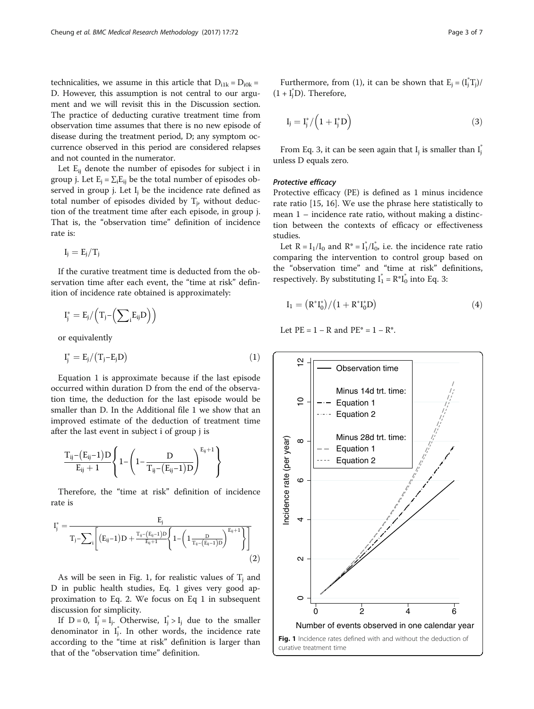<span id="page-2-0"></span>technicalities, we assume in this article that  $D_{i1k} = D_{i0k} =$ D. However, this assumption is not central to our argument and we will revisit this in the Discussion section. The practice of deducting curative treatment time from observation time assumes that there is no new episode of disease during the treatment period, D; any symptom occurrence observed in this period are considered relapses and not counted in the numerator.

Let  $E_{ii}$  denote the number of episodes for subject i in group j. Let  $E_i = \sum_i E_{ii}$  be the total number of episodes observed in group j. Let  $I_i$  be the incidence rate defined as total number of episodes divided by  $\mathrm{T}_{\mathrm{j}^\mathrm{r}}$  without deduction of the treatment time after each episode, in group j. That is, the "observation time" definition of incidence rate is:

$$
I_j = E_j/T_j\,
$$

If the curative treatment time is deducted from the observation time after each event, the "time at risk" definition of incidence rate obtained is approximately:

$$
I_j^*=E_j/\Big(T_j\text{-}\Big(\sum_i\!E_{ij}D\Big)\Big)
$$

or equivalently

$$
I_j^*=E_j/\big(T_j{-}E_jD\big)\hspace{2.5cm}(1)
$$

Equation 1 is approximate because if the last episode occurred within duration D from the end of the observation time, the deduction for the last episode would be smaller than D. In the Additional file [1](#page-5-0) we show that an improved estimate of the deduction of treatment time after the last event in subject i of group j is

$$
\frac{T_{ij} - (E_{ij} - 1)D}{E_{ij} + 1} \Bigg\{ 1 - \Bigg( 1 - \frac{D}{T_{ij} - (E_{ij} - 1)D} \Bigg)^{E_{ij} + 1} \Bigg\}
$$

Therefore, the "time at risk" definition of incidence rate is

$$
I_j^* = \frac{E_j}{T_j - \sum_i \left[ (E_{ij} - 1)D + \frac{T_{ij} - (E_{ij} - 1)D}{E_{ij} + 1} \left\{ 1 - \left( 1 \frac{D}{T_{ij} - (E_{ij} - 1)D} \right)^{E_{ij} + 1} \right\} \right]}
$$
(2)

As will be seen in Fig. 1, for realistic values of  $T_i$  and D in public health studies, Eq. 1 gives very good approximation to Eq. 2. We focus on Eq 1 in subsequent discussion for simplicity.

If  $D = 0$ ,  $I_j^* = I_j$ . Otherwise,  $I_j^* > I_j$  due to the smaller denominator in  $I_j^*$ . In other words, the incidence rate according to the "time at risk" definition is larger than that of the "observation time" definition.

Furthermore, from (1), it can be shown that  $E_j = (I_j^*T_j)/i$  $(1 + I<sub>j</sub><sup>*</sup>D)$ . Therefore,

$$
I_j = I_j^* / \left(1 + I_j^* D\right) \tag{3}
$$

From Eq. 3, it can be seen again that  $I_j$  is smaller than  $I_j$ unless D equals zero.

# Protective efficacy

Protective efficacy (PE) is defined as 1 minus incidence rate ratio [[15](#page-6-0), [16](#page-6-0)]. We use the phrase here statistically to mean 1 – incidence rate ratio, without making a distinction between the contexts of efficacy or effectiveness studies.

Let  $R = I_1/I_0$  and  $R^* = I_1^*/I_0^*$ , i.e. the incidence rate ratio comparing the intervention to control group based on the "observation time" and "time at risk" definitions, respectively. By substituting  $I_1^* = R^*I_0^*$  into Eq. 3:

$$
I_1 = (R^*I_0^*)/(1 + R^*I_0^*D)
$$
\n(4)

Let  $PE = 1 - R$  and  $PE^* = 1 - R^*$ .

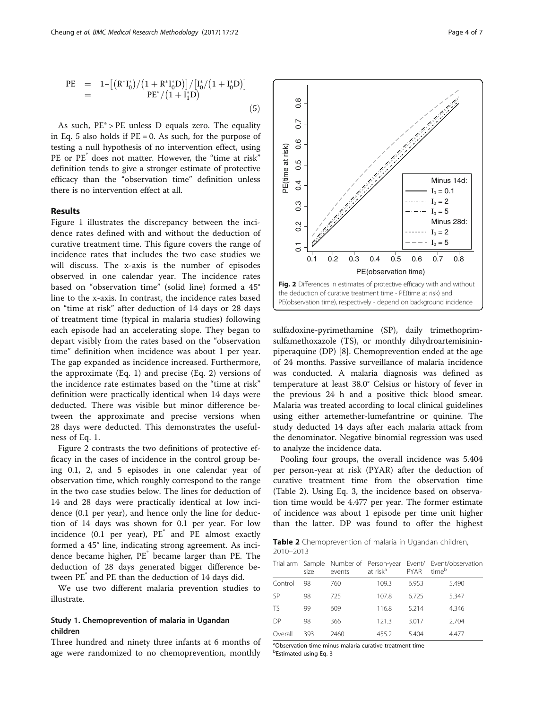<span id="page-3-0"></span>PE = 
$$
1 - \left[ (R^*I_0^*) / (1 + R^*I_0^*D) \right] / \left[ I_0^*/(1 + I_0^*D) \right]
$$
  
 =  $PE^*/(1 + I_1^*D)$  (5)

As such, PE\* > PE unless D equals zero. The equality in Eq. 5 also holds if  $PE = 0$ . As such, for the purpose of testing a null hypothesis of no intervention effect, using PE or PE<sup>\*</sup> does not matter. However, the "time at risk" definition tends to give a stronger estimate of protective efficacy than the "observation time" definition unless there is no intervention effect at all.

# Results

Figure [1](#page-2-0) illustrates the discrepancy between the incidence rates defined with and without the deduction of curative treatment time. This figure covers the range of incidence rates that includes the two case studies we will discuss. The x-axis is the number of episodes observed in one calendar year. The incidence rates based on "observation time" (solid line) formed a 45° line to the x-axis. In contrast, the incidence rates based on "time at risk" after deduction of 14 days or 28 days of treatment time (typical in malaria studies) following each episode had an accelerating slope. They began to depart visibly from the rates based on the "observation time" definition when incidence was about 1 per year. The gap expanded as incidence increased. Furthermore, the approximate (Eq. [1](#page-2-0)) and precise (Eq. [2\)](#page-2-0) versions of the incidence rate estimates based on the "time at risk" definition were practically identical when 14 days were deducted. There was visible but minor difference between the approximate and precise versions when 28 days were deducted. This demonstrates the usefulness of Eq. [1.](#page-2-0)

Figure 2 contrasts the two definitions of protective efficacy in the cases of incidence in the control group being 0.1, 2, and 5 episodes in one calendar year of observation time, which roughly correspond to the range in the two case studies below. The lines for deduction of 14 and 28 days were practically identical at low incidence (0.1 per year), and hence only the line for deduction of 14 days was shown for 0.1 per year. For low incidence (0.1 per year),  $PE^*$  and  $PE$  almost exactly formed a 45° line, indicating strong agreement. As incidence became higher, PE\* became larger than PE. The deduction of 28 days generated bigger difference between PE<sup>\*</sup> and PE than the deduction of 14 days did.

We use two different malaria prevention studies to illustrate.

# Study 1. Chemoprevention of malaria in Ugandan children

Three hundred and ninety three infants at 6 months of age were randomized to no chemoprevention, monthly

sulfadoxine-pyrimethamine (SP), daily trimethoprimsulfamethoxazole (TS), or monthly dihydroartemisininpiperaquine (DP) [\[8](#page-5-0)]. Chemoprevention ended at the age of 24 months. Passive surveillance of malaria incidence was conducted. A malaria diagnosis was defined as temperature at least 38.0° Celsius or history of fever in the previous 24 h and a positive thick blood smear. Malaria was treated according to local clinical guidelines the deduction of content in the latter. The latter of the latter. Deviative the latter than the latter. Deviative business of procession in the latter of the deduction of carrier is a content of the deduction of carrier 0.1 0.2 0.3 0.4 0.5 0.6 0.7 0.8 PE(observation time)  $I_0 = 0.1$  $I_0 = 2$  $I_0 = 5$ Minus 28d:  $I_0 = 2$  $I_0 = 5$ Fig. 2 Differences in estimates of protective efficacy with and without the deduction of curative treatment time - PE(time at risk) and PE(observation time), respectively - depend on background incidence

using either artemether-lumefantrine or quinine. The study deducted 14 days after each malaria attack from the denominator. Negative binomial regression was used to analyze the incidence data.

Pooling four groups, the overall incidence was 5.404 per person-year at risk (PYAR) after the deduction of curative treatment time from the observation time (Table 2). Using Eq. [3](#page-2-0), the incidence based on observation time would be 4.477 per year. The former estimate of incidence was about 1 episode per time unit higher

Table 2 Chemoprevention of malaria in Ugandan children, 2010–2013

|           | size | events | at risk <sup>a</sup> | PYAR    | Trial arm Sample Number of Person-year Event/ Event/observation<br>time <sup>b</sup> |
|-----------|------|--------|----------------------|---------|--------------------------------------------------------------------------------------|
| Control   | 98   | 760    | 109.3                | 6.953   | 5.490                                                                                |
| <b>SP</b> | 98   | 725    | 107.8                | 6.725   | 5.347                                                                                |
| <b>TS</b> | 99   | 609    | 116.8                | 5 2 1 4 | 4.346                                                                                |
| DP        | 98   | 366    | 121.3                | 3.017   | 2.704                                                                                |
| Overall   | 393  | 2460   | 455.2                | 5.404   | 4.477                                                                                |

<sup>a</sup>Observation time minus malaria curative treatment time **b**Estimated using Eq. [3](#page-2-0)

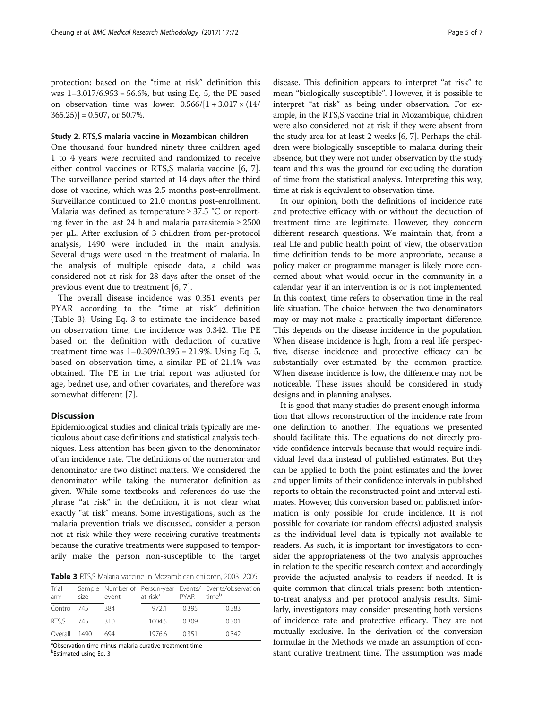protection: based on the "time at risk" definition this was 1–3.017/6.953 = 56.6%, but using Eq. [5](#page-3-0), the PE based on observation time was lower:  $0.566/[1 + 3.017 \times (14]/$  $365.25$ ] = 0.507, or 50.7%.

## Study 2. RTS,S malaria vaccine in Mozambican children

One thousand four hundred ninety three children aged 1 to 4 years were recruited and randomized to receive either control vaccines or RTS,S malaria vaccine [\[6](#page-5-0), [7](#page-5-0)]. The surveillance period started at 14 days after the third dose of vaccine, which was 2.5 months post-enrollment. Surveillance continued to 21.0 months post-enrollment. Malaria was defined as temperature  $\geq 37.5$  °C or reporting fever in the last 24 h and malaria parasitemia  $\geq$  2500 per μL. After exclusion of 3 children from per-protocol analysis, 1490 were included in the main analysis. Several drugs were used in the treatment of malaria. In the analysis of multiple episode data, a child was considered not at risk for 28 days after the onset of the previous event due to treatment [\[6](#page-5-0), [7](#page-5-0)].

The overall disease incidence was 0.351 events per PYAR according to the "time at risk" definition (Table 3). Using Eq. [3](#page-2-0) to estimate the incidence based on observation time, the incidence was 0.342. The PE based on the definition with deduction of curative treatment time was  $1-0.309/0.395 = 21.9\%$ . Using Eq. [5](#page-3-0), based on observation time, a similar PE of 21.4% was obtained. The PE in the trial report was adjusted for age, bednet use, and other covariates, and therefore was somewhat different [[7](#page-5-0)].

## **Discussion**

Epidemiological studies and clinical trials typically are meticulous about case definitions and statistical analysis techniques. Less attention has been given to the denominator of an incidence rate. The definitions of the numerator and denominator are two distinct matters. We considered the denominator while taking the numerator definition as given. While some textbooks and references do use the phrase "at risk" in the definition, it is not clear what exactly "at risk" means. Some investigations, such as the malaria prevention trials we discussed, consider a person not at risk while they were receiving curative treatments because the curative treatments were supposed to temporarily make the person non-susceptible to the target

Table 3 RTS,S Malaria vaccine in Mozambican children, 2003–2005

| Trial<br>arm | size |       | event at risk <sup>a PYAR</sup> time <sup>b</sup> |       | Sample Number of Person-year Events/ Events/observation |
|--------------|------|-------|---------------------------------------------------|-------|---------------------------------------------------------|
| Control 745  |      | - 384 | 972.1                                             | 0.395 | 0.383                                                   |
| RTS.S 745    |      | -310- | 10045                                             | 0309  | 0.301                                                   |
| Overall 1490 |      | 694   | 1976.6                                            | 0.351 | 0.342                                                   |

<sup>a</sup>Observation time minus malaria curative treatment time

<sup>b</sup>Estimated using Eq. [3](#page-2-0)

disease. This definition appears to interpret "at risk" to mean "biologically susceptible". However, it is possible to interpret "at risk" as being under observation. For example, in the RTS,S vaccine trial in Mozambique, children were also considered not at risk if they were absent from the study area for at least 2 weeks [\[6](#page-5-0), [7](#page-5-0)]. Perhaps the children were biologically susceptible to malaria during their absence, but they were not under observation by the study team and this was the ground for excluding the duration of time from the statistical analysis. Interpreting this way, time at risk is equivalent to observation time.

In our opinion, both the definitions of incidence rate and protective efficacy with or without the deduction of treatment time are legitimate. However, they concern different research questions. We maintain that, from a real life and public health point of view, the observation time definition tends to be more appropriate, because a policy maker or programme manager is likely more concerned about what would occur in the community in a calendar year if an intervention is or is not implemented. In this context, time refers to observation time in the real life situation. The choice between the two denominators may or may not make a practically important difference. This depends on the disease incidence in the population. When disease incidence is high, from a real life perspective, disease incidence and protective efficacy can be substantially over-estimated by the common practice. When disease incidence is low, the difference may not be noticeable. These issues should be considered in study designs and in planning analyses.

It is good that many studies do present enough information that allows reconstruction of the incidence rate from one definition to another. The equations we presented should facilitate this. The equations do not directly provide confidence intervals because that would require individual level data instead of published estimates. But they can be applied to both the point estimates and the lower and upper limits of their confidence intervals in published reports to obtain the reconstructed point and interval estimates. However, this conversion based on published information is only possible for crude incidence. It is not possible for covariate (or random effects) adjusted analysis as the individual level data is typically not available to readers. As such, it is important for investigators to consider the appropriateness of the two analysis approaches in relation to the specific research context and accordingly provide the adjusted analysis to readers if needed. It is quite common that clinical trials present both intentionto-treat analysis and per protocol analysis results. Similarly, investigators may consider presenting both versions of incidence rate and protective efficacy. They are not mutually exclusive. In the derivation of the conversion formulae in the Methods we made an assumption of constant curative treatment time. The assumption was made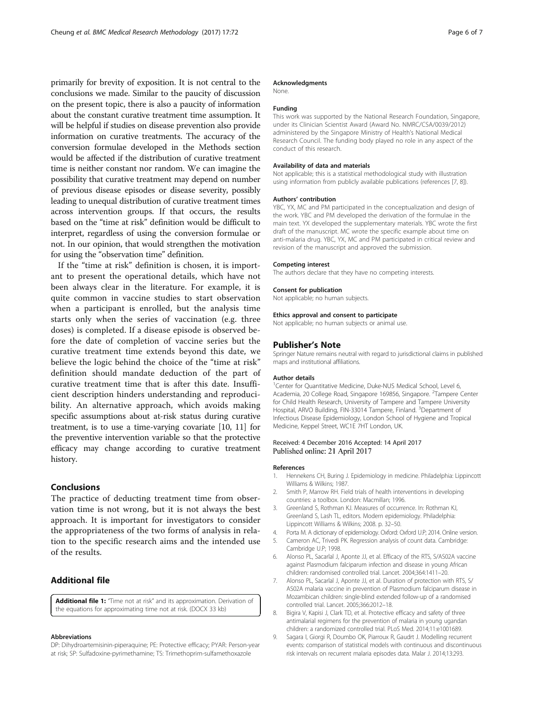<span id="page-5-0"></span>primarily for brevity of exposition. It is not central to the conclusions we made. Similar to the paucity of discussion on the present topic, there is also a paucity of information about the constant curative treatment time assumption. It will be helpful if studies on disease prevention also provide information on curative treatments. The accuracy of the conversion formulae developed in the Methods section would be affected if the distribution of curative treatment time is neither constant nor random. We can imagine the possibility that curative treatment may depend on number of previous disease episodes or disease severity, possibly leading to unequal distribution of curative treatment times across intervention groups. If that occurs, the results based on the "time at risk" definition would be difficult to interpret, regardless of using the conversion formulae or not. In our opinion, that would strengthen the motivation for using the "observation time" definition.

If the "time at risk" definition is chosen, it is important to present the operational details, which have not been always clear in the literature. For example, it is quite common in vaccine studies to start observation when a participant is enrolled, but the analysis time starts only when the series of vaccination (e.g. three doses) is completed. If a disease episode is observed before the date of completion of vaccine series but the curative treatment time extends beyond this date, we believe the logic behind the choice of the "time at risk" definition should mandate deduction of the part of curative treatment time that is after this date. Insufficient description hinders understanding and reproducibility. An alternative approach, which avoids making specific assumptions about at-risk status during curative treatment, is to use a time-varying covariate [[10](#page-6-0), [11](#page-6-0)] for the preventive intervention variable so that the protective efficacy may change according to curative treatment history.

# Conclusions

The practice of deducting treatment time from observation time is not wrong, but it is not always the best approach. It is important for investigators to consider the appropriateness of the two forms of analysis in relation to the specific research aims and the intended use of the results.

# Additional file

[Additional file 1:](dx.doi.org/10.1186/s12874-017-0350-4) "Time not at risk" and its approximation. Derivation of the equations for approximating time not at risk. (DOCX 33 kb)

#### Abbreviations

DP: Dihydroartemisinin-piperaquine; PE: Protective efficacy; PYAR: Person-year at risk; SP: Sulfadoxine-pyrimethamine; TS: Trimethoprim-sulfamethoxazole

## Acknowledgments

None.

### Funding

This work was supported by the National Research Foundation, Singapore, under its Clinician Scientist Award (Award No. NMRC/CSA/0039/2012) administered by the Singapore Ministry of Health's National Medical Research Council. The funding body played no role in any aspect of the conduct of this research.

## Availability of data and materials

Not applicable; this is a statistical methodological study with illustration using information from publicly available publications (references [7, 8]).

#### Authors' contribution

YBC, YX, MC and PM participated in the conceptualization and design of the work. YBC and PM developed the derivation of the formulae in the main text. YX developed the supplementary materials. YBC wrote the first draft of the manuscript. MC wrote the specific example about time on anti-malaria drug. YBC, YX, MC and PM participated in critical review and revision of the manuscript and approved the submission.

#### Competing interest

The authors declare that they have no competing interests.

#### Consent for publication

Not applicable; no human subjects.

#### Ethics approval and consent to participate

Not applicable; no human subjects or animal use.

#### Publisher's Note

Springer Nature remains neutral with regard to jurisdictional claims in published maps and institutional affiliations.

#### Author details

<sup>1</sup> Center for Quantitative Medicine, Duke-NUS Medical School, Level 6, Academia, 20 College Road, Singapore 169856, Singapore. <sup>2</sup>Tampere Center for Child Health Research, University of Tampere and Tampere University Hospital, ARVO Building, FIN-33014 Tampere, Finland. <sup>3</sup>Department of Infectious Disease Epidemiology, London School of Hygiene and Tropical Medicine, Keppel Street, WC1E 7HT London, UK.

## Received: 4 December 2016 Accepted: 14 April 2017 Published online: 21 April 2017

#### References

- 1. Hennekens CH, Buring J. Epidemiology in medicine. Philadelphia: Lippincott Williams & Wilkins; 1987.
- 2. Smith P, Marrow RH. Field trials of health interventions in developing countries: a toolbox. London: Macmillan; 1996.
- 3. Greenland S, Rothman KJ. Measures of occurrence. In: Rothman KJ, Greenland S, Lash TL, editors. Modern epidemiology. Philadelphia: Lippincott Williams & Wilkins; 2008. p. 32–50.
- 4. Porta M. A dictionary of epidemiology. Oxford: Oxford U.P; 2014. Online version.
- 5. Cameron AC, Trivedi PK. Regression analysis of count data. Cambridge: Cambridge U.P; 1998.
- 6. Alonso PL, Sacarlal J, Aponte JJ, et al. Efficacy of the RTS, S/AS02A vaccine against Plasmodium falciparum infection and disease in young African children: randomised controlled trial. Lancet. 2004;364:1411–20.
- 7. Alonso PL, Sacarlal J, Aponte JJ, et al. Duration of protection with RTS, S/ AS02A malaria vaccine in prevention of Plasmodium falciparum disease in Mozambican children: single-blind extended follow-up of a randomised controlled trial. Lancet. 2005;366:2012–18.
- 8. Bigira V, Kapisi J, Clark TD, et al. Protective efficacy and safety of three antimalarial regimens for the prevention of malaria in young ugandan children: a randomized controlled trial. PLoS Med. 2014;11:e1001689.
- 9. Sagara I, Giorgi R, Doumbo OK, Piarroux R, Gaudrt J. Modelling recurrent events: comparison of statistical models with continuous and discontinuous risk intervals on recurrent malaria episodes data. Malar J. 2014;13:293.